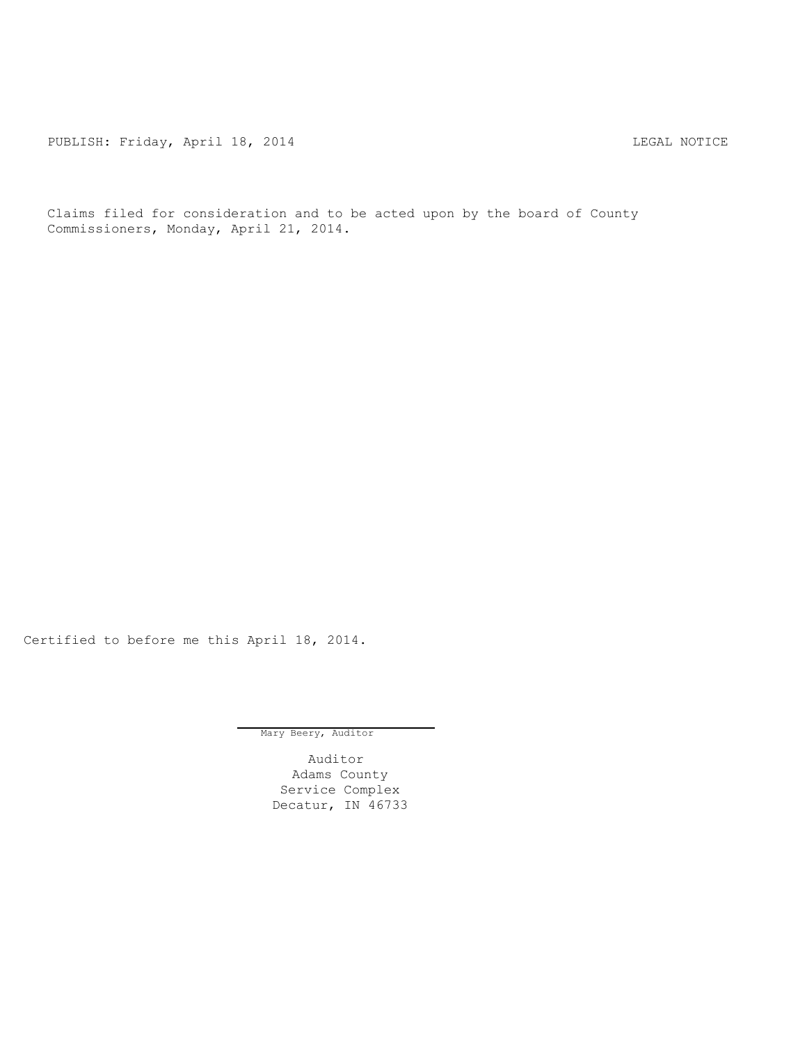PUBLISH: Friday, April 18, 2014 CHA CHANGE AND THE MOTICE

Claims filed for consideration and to be acted upon by the board of County Commissioners, Monday, April 21, 2014.

Certified to before me this April 18, 2014.

Mary Beery, Auditor

Auditor Adams County Service Complex Decatur, IN 46733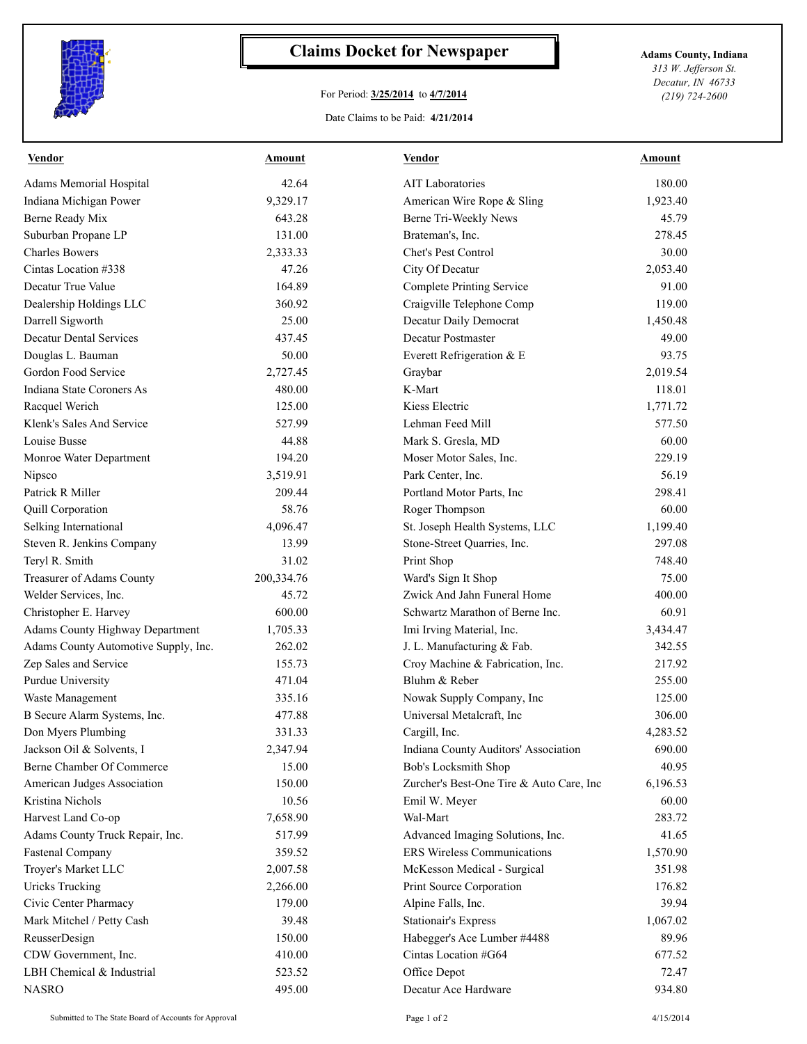

## **Claims Docket for Newspaper Adams County, Indiana**

## For Period: **3/25/2014** to **4/7/2014**

*313 W. Jefferson St. Decatur, IN 46733 (219) 724-2600*

## Date Claims to be Paid: **4/21/2014**

| <b>Vendor</b>                        | Amount     | <b>Vendor</b>                                       | Amount   |
|--------------------------------------|------------|-----------------------------------------------------|----------|
| Adams Memorial Hospital              | 42.64      | <b>AIT Laboratories</b>                             | 180.00   |
| Indiana Michigan Power               | 9,329.17   | American Wire Rope & Sling                          | 1,923.40 |
| Berne Ready Mix                      | 643.28     | Berne Tri-Weekly News                               | 45.79    |
| Suburban Propane LP                  | 131.00     | Brateman's, Inc.                                    | 278.45   |
| <b>Charles Bowers</b>                | 2,333.33   | Chet's Pest Control                                 | 30.00    |
| Cintas Location #338                 | 47.26      | City Of Decatur                                     | 2,053.40 |
| Decatur True Value                   | 164.89     | <b>Complete Printing Service</b>                    | 91.00    |
| Dealership Holdings LLC              | 360.92     | Craigville Telephone Comp                           | 119.00   |
| Darrell Sigworth                     | 25.00      | Decatur Daily Democrat                              | 1,450.48 |
| <b>Decatur Dental Services</b>       | 437.45     | Decatur Postmaster                                  | 49.00    |
| Douglas L. Bauman                    | 50.00      | Everett Refrigeration & E                           | 93.75    |
| Gordon Food Service                  | 2,727.45   | Graybar                                             | 2,019.54 |
| Indiana State Coroners As            | 480.00     | K-Mart                                              | 118.01   |
| Racquel Werich                       | 125.00     | Kiess Electric                                      | 1,771.72 |
| Klenk's Sales And Service            | 527.99     | Lehman Feed Mill                                    | 577.50   |
| Louise Busse                         | 44.88      | Mark S. Gresla, MD                                  | 60.00    |
| Monroe Water Department              | 194.20     | Moser Motor Sales, Inc.                             | 229.19   |
| Nipsco                               | 3,519.91   | Park Center, Inc.                                   | 56.19    |
| Patrick R Miller                     | 209.44     | Portland Motor Parts, Inc                           | 298.41   |
| Quill Corporation                    | 58.76      | Roger Thompson                                      | 60.00    |
| Selking International                | 4,096.47   | St. Joseph Health Systems, LLC                      | 1,199.40 |
| Steven R. Jenkins Company            | 13.99      | Stone-Street Quarries, Inc.                         | 297.08   |
| Teryl R. Smith                       | 31.02      | Print Shop                                          | 748.40   |
| Treasurer of Adams County            | 200,334.76 | Ward's Sign It Shop                                 | 75.00    |
| Welder Services, Inc.                | 45.72      | Zwick And Jahn Funeral Home                         | 400.00   |
| Christopher E. Harvey                | 600.00     | Schwartz Marathon of Berne Inc.                     | 60.91    |
| Adams County Highway Department      | 1,705.33   | Imi Irving Material, Inc.                           | 3,434.47 |
| Adams County Automotive Supply, Inc. | 262.02     | J. L. Manufacturing & Fab.                          | 342.55   |
| Zep Sales and Service                | 155.73     | Croy Machine & Fabrication, Inc.                    | 217.92   |
| Purdue University                    | 471.04     | Bluhm & Reber                                       | 255.00   |
| Waste Management                     | 335.16     | Nowak Supply Company, Inc                           | 125.00   |
| B Secure Alarm Systems, Inc.         | 477.88     | Universal Metalcraft, Inc                           | 306.00   |
| Don Myers Plumbing                   | 331.33     | Cargill, Inc.                                       | 4,283.52 |
| Jackson Oil & Solvents, I            | 2,347.94   | Indiana County Auditors' Association                | 690.00   |
| Berne Chamber Of Commerce            | 15.00      | Bob's Locksmith Shop                                | 40.95    |
| American Judges Association          | 150.00     | Zurcher's Best-One Tire & Auto Care, Inc            | 6,196.53 |
| Kristina Nichols                     | 10.56      | Emil W. Meyer                                       | 60.00    |
| Harvest Land Co-op                   | 7,658.90   | Wal-Mart                                            | 283.72   |
| Adams County Truck Repair, Inc.      | 517.99     | Advanced Imaging Solutions, Inc.                    | 41.65    |
| <b>Fastenal Company</b>              | 359.52     | ERS Wireless Communications                         | 1,570.90 |
| Troyer's Market LLC                  | 2,007.58   | McKesson Medical - Surgical                         | 351.98   |
| <b>Uricks Trucking</b>               | 2,266.00   | Print Source Corporation                            | 176.82   |
| Civic Center Pharmacy                | 179.00     | Alpine Falls, Inc.                                  | 39.94    |
| Mark Mitchel / Petty Cash            | 39.48      | <b>Stationair's Express</b>                         | 1,067.02 |
|                                      |            |                                                     |          |
| ReusserDesign                        | 150.00     | Habegger's Ace Lumber #4488<br>Cintas Location #G64 | 89.96    |
| CDW Government, Inc.                 | 410.00     |                                                     | 677.52   |
| LBH Chemical & Industrial            | 523.52     | Office Depot                                        | 72.47    |
| <b>NASRO</b>                         | 495.00     | Decatur Ace Hardware                                | 934.80   |